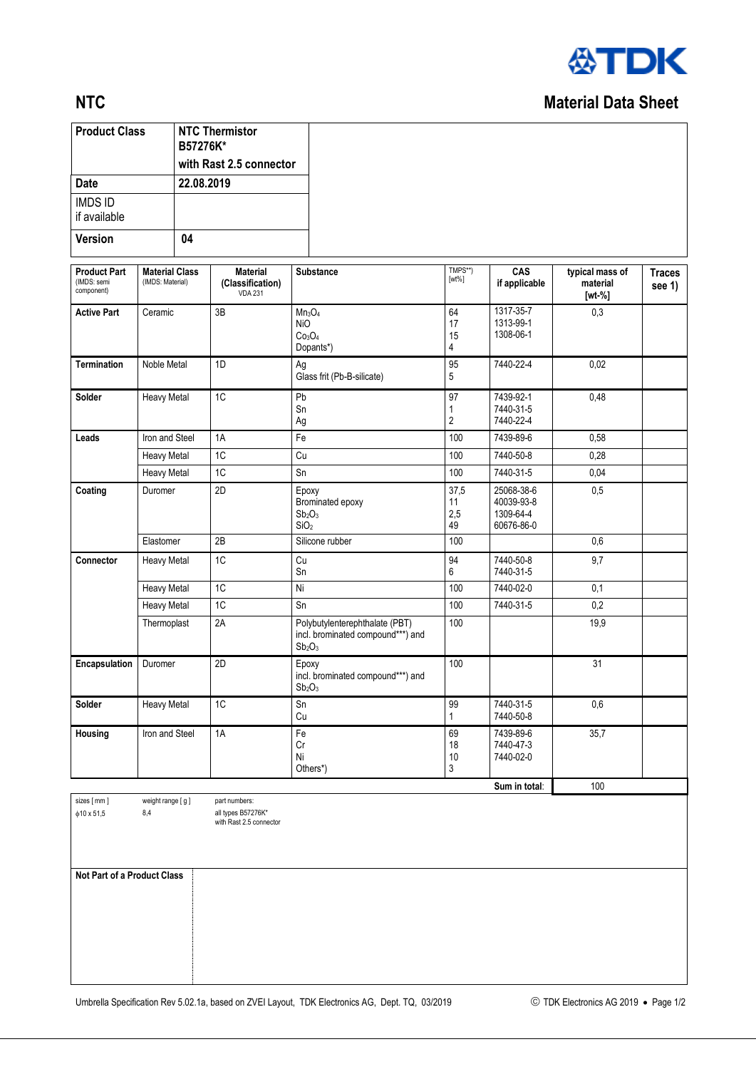

## **NTC** Material Data Sheet

| <b>Product Class</b>                             |                                           | B57276K*   | <b>NTC Thermistor</b>                                                        |                                                                                                       |                           |                                                     |                                           |                         |
|--------------------------------------------------|-------------------------------------------|------------|------------------------------------------------------------------------------|-------------------------------------------------------------------------------------------------------|---------------------------|-----------------------------------------------------|-------------------------------------------|-------------------------|
| <b>Date</b>                                      |                                           | 22.08.2019 | with Rast 2.5 connector                                                      |                                                                                                       |                           |                                                     |                                           |                         |
| <b>IMDS ID</b>                                   |                                           |            |                                                                              |                                                                                                       |                           |                                                     |                                           |                         |
| if available                                     |                                           |            |                                                                              |                                                                                                       |                           |                                                     |                                           |                         |
| <b>Version</b>                                   |                                           | 04         |                                                                              |                                                                                                       |                           |                                                     |                                           |                         |
| <b>Product Part</b><br>(IMDS: semi<br>component) | <b>Material Class</b><br>(IMDS: Material) |            | <b>Material</b><br>(Classification)<br><b>VDA 231</b>                        | Substance                                                                                             | TMPS**)<br>$[wt\%]$       | CAS<br>if applicable                                | typical mass of<br>material<br>$[wt - %]$ | <b>Traces</b><br>see 1) |
| <b>Active Part</b>                               | Ceramic                                   |            | 3B                                                                           | $Mn_3O_4$<br><b>NiO</b><br>Co <sub>3</sub> O <sub>4</sub><br>Dopants*)                                | 64<br>17<br>15<br>4       | 1317-35-7<br>1313-99-1<br>1308-06-1                 | 0.3                                       |                         |
| <b>Termination</b>                               | Noble Metal                               |            | 1D                                                                           | Ag<br>Glass frit (Pb-B-silicate)                                                                      | 95<br>5                   | 7440-22-4                                           | 0,02                                      |                         |
| Solder                                           | <b>Heavy Metal</b>                        |            | 1C                                                                           | Pb<br>Sn<br>Ag                                                                                        | $\overline{97}$<br>1<br>2 | 7439-92-1<br>7440-31-5<br>7440-22-4                 | 0,48                                      |                         |
| Leads                                            | Iron and Steel                            |            | 1A                                                                           | Fe                                                                                                    | 100                       | 7439-89-6                                           | 0,58                                      |                         |
|                                                  | <b>Heavy Metal</b>                        |            | 1C                                                                           | Cu                                                                                                    | 100                       | 7440-50-8                                           | 0,28                                      |                         |
|                                                  | <b>Heavy Metal</b>                        |            | 1C                                                                           | Sn                                                                                                    | 100                       | 7440-31-5                                           | 0,04                                      |                         |
| Coating<br>Duromer                               |                                           |            | 2D                                                                           | Epoxy<br>Brominated epoxy<br>Sb <sub>2</sub> O <sub>3</sub><br>SiO <sub>2</sub>                       | 37,5<br>11<br>2,5<br>49   | 25068-38-6<br>40039-93-8<br>1309-64-4<br>60676-86-0 | 0,5                                       |                         |
|                                                  | Elastomer                                 |            | 2B                                                                           | Silicone rubber                                                                                       | 100                       |                                                     | 0,6                                       |                         |
| Connector                                        | Heavy Metal                               |            | 1C                                                                           | $\mathop{\rm Cu}\nolimits$<br>Sn                                                                      | 94<br>6                   | 7440-50-8<br>7440-31-5                              | 9,7                                       |                         |
|                                                  | <b>Heavy Metal</b>                        |            | 1 <sup>C</sup>                                                               | Ni                                                                                                    | 100                       | 7440-02-0                                           | 0,1                                       |                         |
|                                                  | <b>Heavy Metal</b>                        |            | 1C                                                                           | Sn                                                                                                    | 100                       | 7440-31-5                                           | 0,2                                       |                         |
|                                                  | Thermoplast                               |            | 2A                                                                           | Polybutylenterephthalate (PBT)<br>incl. brominated compound***) and<br>Sb <sub>2</sub> O <sub>3</sub> | 100                       |                                                     | 19,9                                      |                         |
| Encapsulation<br>Duromer                         |                                           | 2D         | Epoxy<br>incl. brominated compound***) and<br>Sb <sub>2</sub> O <sub>3</sub> | 100                                                                                                   |                           | 31                                                  |                                           |                         |
| Solder<br>Heavy Metal                            |                                           | 1C         | Sn<br>Cu                                                                     | 99<br>1                                                                                               | 7440-31-5<br>7440-50-8    | 0,6                                                 |                                           |                         |
| Housing                                          | Iron and Steel                            |            | 1A                                                                           | Fe<br>Cr<br>Ni<br>Others*)                                                                            | 69<br>18<br>10<br>3       | 7439-89-6<br>7440-47-3<br>7440-02-0                 | 35,7                                      |                         |

sizes [ mm ]  $\phi$ 10 x 51,5

part numbers: all types B57276K\* with Rast 2.5 connector

**Not Part of a Product Class**

weight range [ g ] 8,4

**Sum in total:** 100